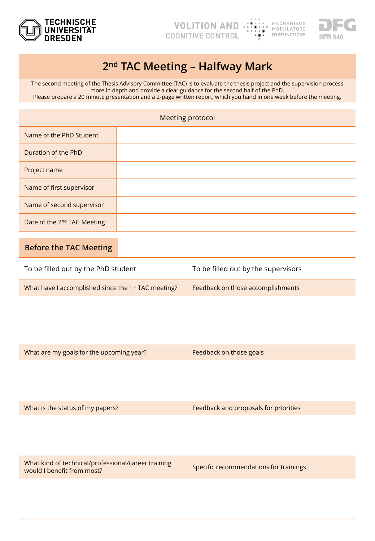



## **2nd TAC Meeting – Halfway Mark**

The second meeting of the Thesis Advisory Committee (TAC) is to evaluate the thesis project and the supervision process more in depth and provide a clear guidance for the second half of the PhD. Please prepare a 20 minute presentation and a 2-page written report, which you hand in one week before the meeting.

| Meeting protocol                        |  |  |
|-----------------------------------------|--|--|
| Name of the PhD Student                 |  |  |
| Duration of the PhD                     |  |  |
| Project name                            |  |  |
| Name of first supervisor                |  |  |
| Name of second supervisor               |  |  |
| Date of the 2 <sup>nd</sup> TAC Meeting |  |  |

## **Before the TAC Meeting**

| To be filled out by the PhD student                             | To be filled out by the supervisors |  |  |
|-----------------------------------------------------------------|-------------------------------------|--|--|
| What have I accomplished since the 1 <sup>st</sup> TAC meeting? | Feedback on those accomplishments   |  |  |

What are my goals for the upcoming year? Feedback on those goals

What is the status of my papers? Feedback and proposals for priorities

What kind of technical/professional/career training what kind of technical professional career trainings<br>would I benefit from most?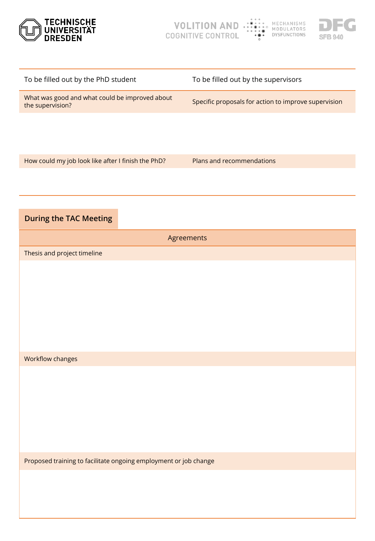



| What was good and what could be improved about<br>the supervision? | Specific proposals for action to improve supervision |
|--------------------------------------------------------------------|------------------------------------------------------|
|                                                                    |                                                      |
|                                                                    |                                                      |
| How could my job look like after I finish the PhD?                 | Plans and recommendations                            |
|                                                                    |                                                      |
|                                                                    |                                                      |
| <b>During the TAC Meeting</b>                                      |                                                      |
| Agreements                                                         |                                                      |
| Thesis and project timeline                                        |                                                      |
|                                                                    |                                                      |
|                                                                    |                                                      |
|                                                                    |                                                      |
|                                                                    |                                                      |
|                                                                    |                                                      |
|                                                                    |                                                      |
| Workflow changes                                                   |                                                      |
|                                                                    |                                                      |
|                                                                    |                                                      |
|                                                                    |                                                      |
|                                                                    |                                                      |
|                                                                    |                                                      |
| Proposed training to facilitate ongoing employment or job change   |                                                      |
|                                                                    |                                                      |
|                                                                    |                                                      |

To be filled out by the PhD student To be filled out by the supervisors